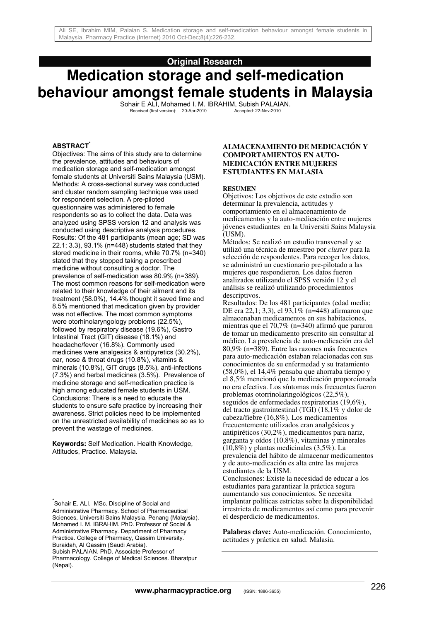## **Original Research**

# **Medication storage and self-medication behaviour amongst female students in Malaysia**

Sohair E ALI, Mohamed I. M. IBRAHIM, Subish PALAIAN.<br>Received (first version): 20-Apr-2010 Accepted: 22-Nov-2010 Received (first version): 20-Apr-2010

#### **ABSTRACT\***

Objectives: The aims of this study are to determine the prevalence, attitudes and behaviours of medication storage and self-medication amongst female students at Universiti Sains Malaysia (USM). Methods: A cross-sectional survey was conducted and cluster random sampling technique was used for respondent selection. A pre-piloted questionnaire was administered to female respondents so as to collect the data. Data was analyzed using SPSS version 12 and analysis was conducted using descriptive analysis procedures. Results: Of the 481 participants (mean age; SD was 22.1; 3.3), 93.1% (n=448) students stated that they stored medicine in their rooms, while 70.7% (n=340) stated that they stopped taking a prescribed medicine without consulting a doctor. The prevalence of self-medication was 80.9% (n=389). The most common reasons for self-medication were related to their knowledge of their ailment and its treatment (58.0%), 14.4% thought it saved time and 8.5% mentioned that medication given by provider was not effective. The most common symptoms were otorhinolaryngology problems (22.5%), followed by respiratory disease (19.6%), Gastro Intestinal Tract (GIT) disease (18.1%) and headache/fever (16.8%). Commonly used medicines were analgesics & antipyretics (30.2%), ear, nose & throat drugs (10.8%), vitamins & minerals (10.8%), GIT drugs (8.5%), anti-infections (7.3%) and herbal medicines (3.5%). Prevalence of medicine storage and self-medication practice is high among educated female students in USM. Conclusions: There is a need to educate the students to ensure safe practice by increasing their awareness. Strict policies need to be implemented on the unrestricted availability of medicines so as to prevent the wastage of medicines.

**Keywords:** Self Medication. Health Knowledge, Attitudes, Practice. Malaysia.

 $\overline{1}$ 

#### **ALMACENAMIENTO DE MEDICACIÓN Y COMPORTAMIENTOS EN AUTO-MEDICACIÓN ENTRE MUJERES ESTUDIANTES EN MALASIA**

#### **RESUMEN**

Objetivos: Los objetivos de este estudio son determinar la prevalencia, actitudes y comportamiento en el almacenamiento de medicamentos y la auto-medicación entre mujeres jóvenes estudiantes en la Universiti Sains Malaysia (USM).

Métodos: Se realizó un estudio transversal y se utilizó una técnica de muestreo por *cluster* para la selección de respondentes. Para recoger los datos, se administró un cuestionario pre-pilotado a las mujeres que respondieron. Los datos fueron analizados utilizando el SPSS versión 12 y el análisis se realizó utilizando procedimientos descriptivos.

Resultados: De los 481 participantes (edad media; DE era 22,1; 3,3), el 93,1% (n=448) afirmaron que almacenaban medicamentos en sus habitaciones, mientras que el 70,7% (n=340) afirmó que pararon de tomar un medicamento prescrito sin consultar al médico. La prevalencia de auto-medicación era del 80,9% (n=389). Entre las razones más frecuentes para auto-medicación estaban relacionadas con sus conocimientos de su enfermedad y su tratamiento (58,0%), el 14,4% pensaba que ahorraba tiempo y el 8,5% mencionó que la medicación proporcionada no era efectiva. Los síntomas más frecuentes fueron problemas otorrinolaringológicos (22,5%), seguidos de enfermedades respiratorias (19,6%), del tracto gastrointestinal (TGI) (18,1% y dolor de cabeza/fiebre (16,8%). Los medicamentos frecuentemente utilizados eran analgésicos y antipiréticos (30,2%), medicamentos para nariz, garganta y oídos (10,8%), vitaminas y minerales  $(10,8\%)$  y plantas medicinales  $(3,5\%)$ . La prevalencia del hábito de almacenar medicamentos y de auto-medicación es alta entre las mujeres estudiantes de la USM. Conclusiones: Existe la necesidad de educar a los estudiantes para garantizar la práctica segura

aumentando sus conocimientos. Se necesita implantar políticas estrictas sobre la disponibilidad irrestricta de medicamentos así como para prevenir el desperdicio de medicamentos.

**Palabras clave:** Auto-medicación. Conocimiento, actitudes y práctica en salud. Malasia.

<sup>\*</sup> Sohair E. ALI. MSc. Discipline of Social and Administrative Pharmacy. School of Pharmaceutical Sciences, Universiti Sains Malaysia. Penang (Malaysia). Mohamed I. M. IBRAHIM. PhD. Professor of Social & Administrative Pharmacy. Department of Pharmacy Practice. College of Pharmacy, Qassim University. Buraidah, Al Qassim (Saudi Arabia). Subish PALAIAN. PhD. Associate Professor of Pharmacology. College of Medical Sciences. Bharatpur (Nepal).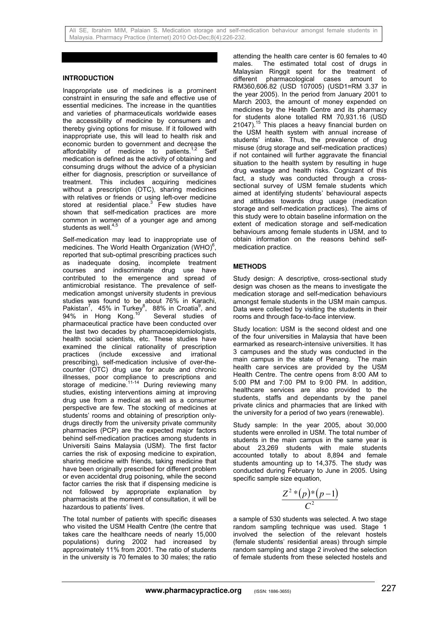### **INTRODUCTION**

Inappropriate use of medicines is a prominent constraint in ensuring the safe and effective use of essential medicines. The increase in the quantities and varieties of pharmaceuticals worldwide eases the accessibility of medicine by consumers and thereby giving options for misuse. If it followed with inappropriate use, this will lead to health risk and economic burden to government and decrease the affordability of medicine to patients.<sup>1,2</sup> Self affordability of medicine to patients.<sup>1,2</sup> medication is defined as the activity of obtaining and consuming drugs without the advice of a physician either for diagnosis, prescription or surveillance of treatment. This includes acquiring medicines without a prescription (OTC), sharing medicines with relatives or friends or using left-over medicine stored at residential place. $3$  Few studies have shown that self-medication practices are more common in women of a younger age and among students as well.<sup>4,5</sup>

Self-medication may lead to inappropriate use of medicines. The World Health Organization (WHO) $^6$ , reported that sub-optimal prescribing practices such as inadequate dosing, incomplete treatment courses and indiscriminate drug use have contributed to the emergence and spread of antimicrobial resistance. The prevalence of selfmedication amongst university students in previous studies was found to be about 76% in Karachi, Pakistan<sup>7</sup>, 45% in Turkey<sup>8</sup>, 88% in Croatia<sup>9</sup>, and 94% in Hong Kong.<sup>10</sup> Several studies of pharmaceutical practice have been conducted over the last two decades by pharmacoepidemiologists, health social scientists, etc. These studies have examined the clinical rationality of prescription practices (include excessive and irrational prescribing), self-medication inclusive of over-thecounter (OTC) drug use for acute and chronic illnesses, poor compliance to prescriptions and storage of medicine.<sup>11-14</sup> During reviewing many studies, existing interventions aiming at improving drug use from a medical as well as a consumer perspective are few. The stocking of medicines at students' rooms and obtaining of prescription onlydrugs directly from the university private community pharmacies (PCP) are the expected major factors behind self-medication practices among students in Universiti Sains Malaysia (USM). The first factor carries the risk of exposing medicine to expiration, sharing medicine with friends, taking medicine that have been originally prescribed for different problem or even accidental drug poisoning, while the second factor carries the risk that if dispensing medicine is not followed by appropriate explanation by pharmacists at the moment of consultation, it will be hazardous to patients' lives.

The total number of patients with specific diseases who visited the USM Health Centre (the centre that takes care the healthcare needs of nearly 15,000 populations) during 2002 had increased by approximately 11% from 2001. The ratio of students in the university is 70 females to 30 males; the ratio

attending the health care center is 60 females to 40 males. The estimated total cost of drugs in Malaysian Ringgit spent for the treatment of different pharmacological cases amount to different pharmacological cases RM360,606.82 (USD 107005) (USD1=RM 3.37 in the year 2005). In the period from January 2001 to March 2003, the amount of money expended on medicines by the Health Centre and its pharmacy for students alone totalled RM 70,931.16 (USD 21047).<sup>15</sup> This places a heavy financial burden on the USM health system with annual increase of students' intake. Thus, the prevalence of drug misuse (drug storage and self-medication practices) if not contained will further aggravate the financial situation to the health system by resulting in huge drug wastage and health risks. Cognizant of this fact, a study was conducted through a crosssectional survey of USM female students which aimed at identifying students' behavioural aspects and attitudes towards drug usage (medication storage and self-medication practices). The aims of this study were to obtain baseline information on the extent of medication storage and self-medication behaviours among female students in USM, and to obtain information on the reasons behind selfmedication practice.

## **METHODS**

Study design: A descriptive, cross-sectional study design was chosen as the means to investigate the medication storage and self-medication behaviours amongst female students in the USM main campus. Data were collected by visiting the students in their rooms and through face-to-face interview.

Study location: USM is the second oldest and one of the four universities in Malaysia that have been earmarked as research-intensive universities. It has 3 campuses and the study was conducted in the main campus in the state of Penang. The main health care services are provided by the USM Health Centre. The centre opens from 8:00 AM to 5:00 PM and 7:00 PM to 9:00 PM. In addition, healthcare services are also provided to the students, staffs and dependants by the panel private clinics and pharmacies that are linked with the university for a period of two years (renewable).

Study sample: In the year 2005, about 30,000 students were enrolled in USM. The total number of students in the main campus in the same year is about 23,269 students with male students accounted totally to about 8,894 and female students amounting up to 14,375. The study was conducted during February to June in 2005. Using specific sample size equation,

$$
\frac{Z^2*(p)*(p-1)}{C^2}
$$

a sample of 530 students was selected. A two stage random sampling technique was used. Stage 1 involved the selection of the relevant hostels (female students' residential areas) through simple random sampling and stage 2 involved the selection of female students from these selected hostels and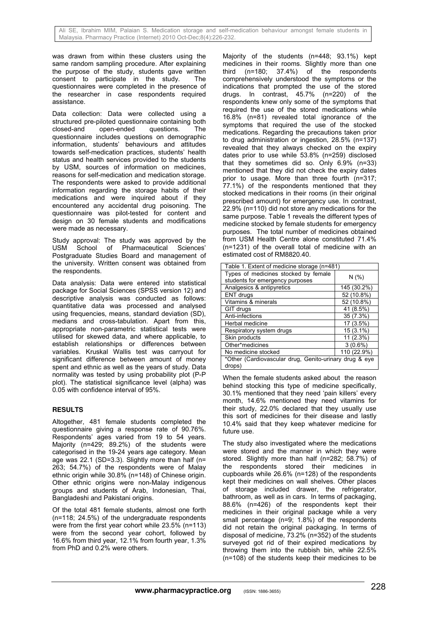was drawn from within these clusters using the same random sampling procedure. After explaining the purpose of the study, students gave written<br>consent to participate in the study. The consent to participate in the study. questionnaires were completed in the presence of the researcher in case respondents required assistance.

Data collection: Data were collected using a structured pre-piloted questionnaire containing both<br>closed-and open-ended questions. The closed-and open-ended questions. The questionnaire includes questions on demographic information, students' behaviours and attitudes towards self-medication practices, students' health status and health services provided to the students by USM, sources of information on medicines, reasons for self-medication and medication storage. The respondents were asked to provide additional information regarding the storage habits of their medications and were inquired about if they encountered any accidental drug poisoning. The questionnaire was pilot-tested for content and design on 30 female students and modifications were made as necessary.

Study approval: The study was approved by the USM School of Pharmaceutical Sciences' Postgraduate Studies Board and management of the university. Written consent was obtained from the respondents.

Data analysis: Data were entered into statistical package for Social Sciences (SPSS version 12) and descriptive analysis was conducted as follows: quantitative data was processed and analysed using frequencies, means, standard deviation (SD), medians and cross-tabulation. Apart from this, appropriate non-parametric statistical tests were utilised for skewed data, and where applicable, to establish relationships or differences between variables. Kruskal Wallis test was carryout for significant difference between amount of money spent and ethnic as well as the years of study. Data normality was tested by using probability plot (P-P plot). The statistical significance level (alpha) was 0.05 with confidence interval of 95%.

# **RESULTS**

Altogether, 481 female students completed the questionnaire giving a response rate of 90.76%. Respondents' ages varied from 19 to 54 years. Majority (n=429; 89.2%) of the students were categorised in the 19-24 years age category. Mean age was 22.1 (SD=3.3). Slightly more than half (n= 263; 54.7%) of the respondents were of Malay ethnic origin while 30.8% (n=148) of Chinese origin. Other ethnic origins were non-Malay indigenous groups and students of Arab, Indonesian, Thai, Bangladeshi and Pakistani origins.

Of the total 481 female students, almost one forth (n=118; 24.5%) of the undergraduate respondents were from the first year cohort while 23.5% (n=113) were from the second year cohort, followed by 16.6% from third year, 12.1% from fourth year, 1.3% from PhD and 0.2% were others.

Majority of the students (n=448; 93.1%) kept medicines in their rooms. Slightly more than one third (n=180; 37.4%) of the respondents comprehensively understood the symptoms or the indications that prompted the use of the stored drugs. In contrast, 45.7% (n=220) of the respondents knew only some of the symptoms that required the use of the stored medications while 16.8% (n=81) revealed total ignorance of the symptoms that required the use of the stocked medications. Regarding the precautions taken prior to drug administration or ingestion, 28.5% (n=137) revealed that they always checked on the expiry dates prior to use while 53.8% (n=259) disclosed that they sometimes did so. Only 6.9% (n=33) mentioned that they did not check the expiry dates prior to usage. More than three fourth (n=317; 77.1%) of the respondents mentioned that they stocked medications in their rooms (in their original prescribed amount) for emergency use. In contrast, 22.9% (n=110) did not store any medications for the same purpose. Table 1 reveals the different types of medicine stocked by female students for emergency purposes. The total number of medicines obtained from USM Health Centre alone constituted 71.4% (n=1231) of the overall total of medicine with an estimated cost of RM8820.40.

| Table 1. Extent of medicine storage (n=481)                             |             |  |  |
|-------------------------------------------------------------------------|-------------|--|--|
| Types of medicines stocked by female<br>students for emergency purposes | N(% )       |  |  |
| Analgesics & antipyretics                                               | 145 (30.2%) |  |  |
| ENT drugs                                                               | 52 (10.8%)  |  |  |
| Vitamins & minerals                                                     | 52 (10.8%)  |  |  |
| GIT drugs                                                               | 41 (8.5%)   |  |  |
| Anti-infections                                                         | 35 (7.3%)   |  |  |
| Herbal medicine                                                         | 17 (3.5%)   |  |  |
| Respiratory system drugs                                                | $15(3.1\%)$ |  |  |
| Skin products                                                           | 11 (2.3%)   |  |  |
| Other*medicines                                                         | $3(0.6\%)$  |  |  |
| No medicine stocked                                                     | 110 (22.9%) |  |  |
| *Other (Cardiovascular drug, Genito-urinary drug & eye<br>drops)        |             |  |  |

When the female students asked about the reason behind stocking this type of medicine specifically, 30.1% mentioned that they need 'pain killers' every month, 14.6% mentioned they need vitamins for their study, 22.0% declared that they usually use this sort of medicines for their disease and lastly 10.4% said that they keep whatever medicine for future use.

The study also investigated where the medications were stored and the manner in which they were stored. Slightly more than half (n=282; 58.7%) of the respondents stored their medicines in cupboards while 26.6% (n=128) of the respondents kept their medicines on wall shelves. Other places of storage included drawer, the refrigerator, bathroom, as well as in cars. In terms of packaging, 88.6% (n=426) of the respondents kept their medicines in their original package while a very small percentage ( $n=9$ ; 1.8%) of the respondents did not retain the original packaging. In terms of disposal of medicine, 73.2% (n=352) of the students surveyed got rid of their expired medications by throwing them into the rubbish bin, while 22.5% (n=108) of the students keep their medicines to be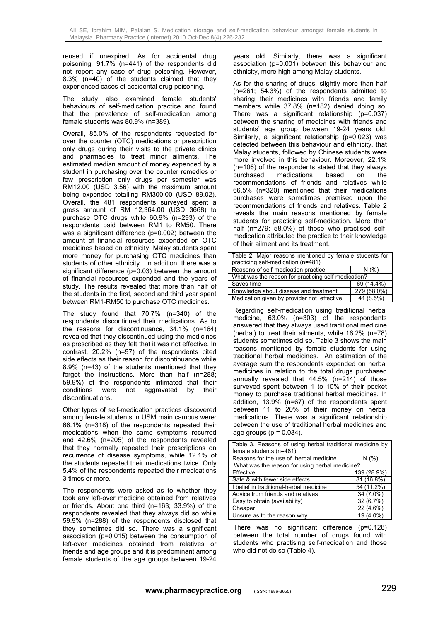reused if unexpired. As for accidental drug poisoning, 91.7% (n=441) of the respondents did not report any case of drug poisoning. However, 8.3% (n=40) of the students claimed that they experienced cases of accidental drug poisoning.

The study also examined female students' behaviours of self-medication practice and found that the prevalence of self-medication among female students was 80.9% (n=389).

Overall, 85.0% of the respondents requested for over the counter (OTC) medications or prescription only drugs during their visits to the private clinics and pharmacies to treat minor ailments. The estimated median amount of money expended by a student in purchasing over the counter remedies or few prescription only drugs per semester was RM12.00 (USD 3.56) with the maximum amount being expended totalling RM300.00 (USD 89.02). Overall, the 481 respondents surveyed spent a gross amount of RM 12,364.00 (USD 3668) to purchase OTC drugs while 60.9% (n=293) of the respondents paid between RM1 to RM50. There was a significant difference (p=0.002) between the amount of financial resources expended on OTC medicines based on ethnicity; Malay students spent more money for purchasing OTC medicines than students of other ethnicity. In addition, there was a significant difference (p=0.03) between the amount of financial resources expended and the years of study. The results revealed that more than half of the students in the first, second and third year spent between RM1-RM50 to purchase OTC medicines.

The study found that 70.7% (n=340) of the respondents discontinued their medications. As to the reasons for discontinuance, 34.1% (n=164) revealed that they discontinued using the medicines as prescribed as they felt that it was not effective. In contrast, 20.2% (n=97) of the respondents cited side effects as their reason for discontinuance while 8.9% (n=43) of the students mentioned that they forgot the instructions. More than half (n=288; 59.9%) of the respondents intimated that their<br>conditions were not aggravated by their were not aggravated by their discontinuations.

Other types of self-medication practices discovered among female students in USM main campus were: 66.1% (n=318) of the respondents repeated their medications when the same symptoms recurred and 42.6% (n=205) of the respondents revealed that they normally repeated their prescriptions on recurrence of disease symptoms, while 12.1% of the students repeated their medications twice. Only 5.4% of the respondents repeated their medications 3 times or more.

The respondents were asked as to whether they took any left-over medicine obtained from relatives or friends. About one third (n=163; 33.9%) of the respondents revealed that they always did so while 59.9% (n=288) of the respondents disclosed that they sometimes did so. There was a significant association (p=0.015) between the consumption of left-over medicines obtained from relatives or friends and age groups and it is predominant among female students of the age groups between 19-24

years old. Similarly, there was a significant association (p=0.001) between this behaviour and ethnicity, more high among Malay students.

As for the sharing of drugs, slightly more than half (n=261; 54.3%) of the respondents admitted to sharing their medicines with friends and family members while 37.8% (n=182) denied doing so. There was a significant relationship (p=0.037) between the sharing of medicines with friends and students' age group between 19-24 years old. Similarly, a significant relationship (p=0.023) was detected between this behaviour and ethnicity, that Malay students, followed by Chinese students were more involved in this behaviour. Moreover, 22.1%  $(n=106)$  of the respondents stated that they always<br>purchased medications based on the purchased medications based on the recommendations of friends and relatives while 66.5% (n=320) mentioned that their medications purchases were sometimes premised upon the recommendations of friends and relatives. Table 2 reveals the main reasons mentioned by female students for practicing self-medication. More than half (n=279; 58.0%) of those who practised selfmedication attributed the practice to their knowledge of their ailment and its treatment.

| Table 2. Major reasons mentioned by female students for |             |  |  |  |
|---------------------------------------------------------|-------------|--|--|--|
| practicing self-medication (n=481)                      |             |  |  |  |
| Reasons of self-medication practice                     | N(% )       |  |  |  |
| What was the reason for practicing self-medication?     |             |  |  |  |
| Saves time                                              | 69 (14.4%)  |  |  |  |
| Knowledge about disease and treatment                   | 279 (58.0%) |  |  |  |
| Medication given by provider not effective              | 41 (8.5%)   |  |  |  |

Regarding self-medication using traditional herbal medicine, 63.0% (n=303) of the respondents answered that they always used traditional medicine (herbal) to treat their ailments, while 16.2% (n=78) students sometimes did so. Table 3 shows the main reasons mentioned by female students for using traditional herbal medicines. An estimation of the average sum the respondents expended on herbal medicines in relation to the total drugs purchased annually revealed that 44.5% (n=214) of those surveyed spent between 1 to 10% of their pocket money to purchase traditional herbal medicines. In addition, 13.9% (n=67) of the respondents spent between 11 to 20% of their money on herbal medications. There was a significant relationship between the use of traditional herbal medicines and age groups ( $p = 0.034$ ).

| Table 3. Reasons of using herbal traditional medicine by<br>female students (n=481) |             |  |  |  |
|-------------------------------------------------------------------------------------|-------------|--|--|--|
| Reasons for the use of herbal medicine                                              | N (%)       |  |  |  |
| What was the reason for using herbal medicine?                                      |             |  |  |  |
| Effective                                                                           | 139 (28.9%) |  |  |  |
| Safe & with fewer side effects                                                      | 81 (16.8%)  |  |  |  |
| I belief in traditional-herbal medicine                                             | 54 (11.2%)  |  |  |  |
| Advice from friends and relatives                                                   | 34 (7.0%)   |  |  |  |
| Easy to obtain (availability)                                                       | 32 (6.7%)   |  |  |  |
| Cheaper                                                                             | 22 (4.6%)   |  |  |  |
| Unsure as to the reason why                                                         | 19 (4.0%)   |  |  |  |

There was no significant difference (p=0.128) between the total number of drugs found with students who practising self-medication and those who did not do so (Table 4).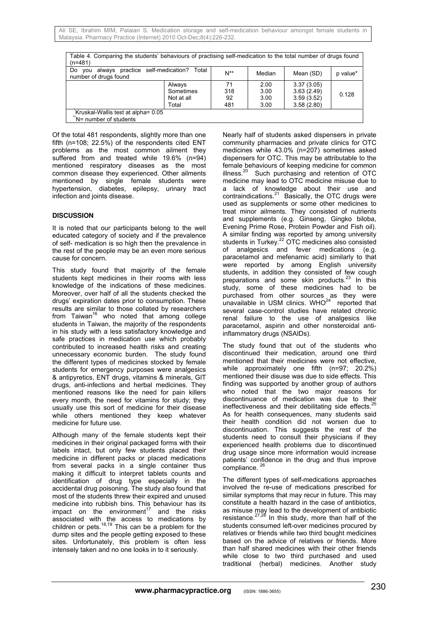| Table 4. Comparing the students' behaviours of practising self-medication to the total number of drugs found<br>$(n=481)$ |            |          |        |            |          |  |  |
|---------------------------------------------------------------------------------------------------------------------------|------------|----------|--------|------------|----------|--|--|
| always practice self-medication?<br>Total<br>Do<br>vou<br>number of drugs found                                           |            | $N^{**}$ | Median | Mean (SD)  | p value* |  |  |
|                                                                                                                           | Always     | 71       | 2.00   | 3.37(3.05) |          |  |  |
|                                                                                                                           | Sometimes  | 318      | 3.00   | 3.63(2.49) | 0.128    |  |  |
|                                                                                                                           | Not at all | 92       | 3.00   | 3.59(3.52) |          |  |  |
|                                                                                                                           | Total      | 481      | 3.00   | 3.58(2.80) |          |  |  |
| Kruskal-Wallis test at alpha= 0.05<br>N= number of students <sup>*</sup>                                                  |            |          |        |            |          |  |  |

Of the total 481 respondents, slightly more than one fifth (n=108; 22.5%) of the respondents cited ENT problems as the most common ailment they suffered from and treated while 19.6% (n=94) mentioned respiratory diseases as the most common disease they experienced. Other ailments mentioned by single female students were hypertension, diabetes, epilepsy, urinary tract infection and joints disease.

#### **DISCUSSION**

It is noted that our participants belong to the well educated category of society and if the prevalence of self- medication is so high then the prevalence in the rest of the people may be an even more serious cause for concern.

This study found that majority of the female students kept medicines in their rooms with less knowledge of the indications of these medicines. Moreover, over half of all the students checked the drugs' expiration dates prior to consumption. These results are similar to those collated by researchers from Taiwan $16$  who noted that among college students in Taiwan, the majority of the respondents in his study with a less satisfactory knowledge and safe practices in medication use which probably contributed to increased health risks and creating unnecessary economic burden. The study found the different types of medicines stocked by female students for emergency purposes were analgesics & antipyretics, ENT drugs, vitamins & minerals, GIT drugs, anti-infections and herbal medicines. They mentioned reasons like the need for pain killers every month, the need for vitamins for study; they usually use this sort of medicine for their disease while others mentioned they keep whatever medicine for future use.

Although many of the female students kept their medicines in their original packaged forms with their labels intact, but only few students placed their medicine in different packs or placed medications from several packs in a single container thus making it difficult to interpret tablets counts and identification of drug type especially in the accidental drug poisoning. The study also found that most of the students threw their expired and unused medicine into rubbish bins. This behaviour has its impact on the environment<sup>17</sup> and the risks impact on the environment $17$ associated with the access to medications by children or pets.<sup>18,19</sup> This can be a problem for the dump sites and the people getting exposed to these sites. Unfortunately, this problem is often less intensely taken and no one looks in to it seriously.

Nearly half of students asked dispensers in private community pharmacies and private clinics for OTC medicines while 43.0% (n=207) sometimes asked dispensers for OTC. This may be attributable to the female behaviours of keeping medicine for common illness.<sup>20</sup> Such purchasing and retention of OTC medicine may lead to OTC medicine misuse due to a lack of knowledge about their use and contraindications.<sup>21</sup> Basically, the OTC drugs were used as supplements or some other medicines to treat minor ailments. They consisted of nutrients and supplements (e.g. Ginseng, Gingko biloba, Evening Prime Rose, Protein Powder and Fish oil). A similar finding was reported by among university students in Turkey.<sup>22</sup> OTC medicines also consisted of analgesics and fever medications (e.g. paracetamol and mefenamic acid) similarly to that were reported by among English university students, in addition they consisted of few cough preparations and some skin products.<sup>23</sup> In this study, some of these medicines had to be purchased from other sources as they were unavailable in USM clinics. WHO $^{24}$  reported that several case-control studies have related chronic renal failure to the use of analgesics like paracetamol, aspirin and other nonsteroidal antiinflammatory drugs (NSAIDs).

The study found that out of the students who discontinued their medication, around one third mentioned that their medicines were not effective, while approximately one fifth (n=97; 20.2%) mentioned their disuse was due to side effects. This finding was supported by another group of authors who noted that the two major reasons for discontinuance of medication was due to their ineffectiveness and their debilitating side effects.<sup>25</sup> As for health consequences, many students said their health condition did not worsen due to discontinuation. This suggests the rest of the students need to consult their physicians if they experienced health problems due to discontinued drug usage since more information would increase patients' confidence in the drug and thus improve compliance.<sup>26</sup>

The different types of self-medications approaches involved the re-use of medications prescribed for similar symptoms that may recur in future. This may constitute a health hazard in the case of antibiotics, as misuse may lead to the development of antibiotic resistance. $27,28$  In this study, more than half of the students consumed left-over medicines procured by relatives or friends while two third bought medicines based on the advice of relatives or friends. More than half shared medicines with their other friends while close to two third purchased and used traditional (herbal) medicines. Another study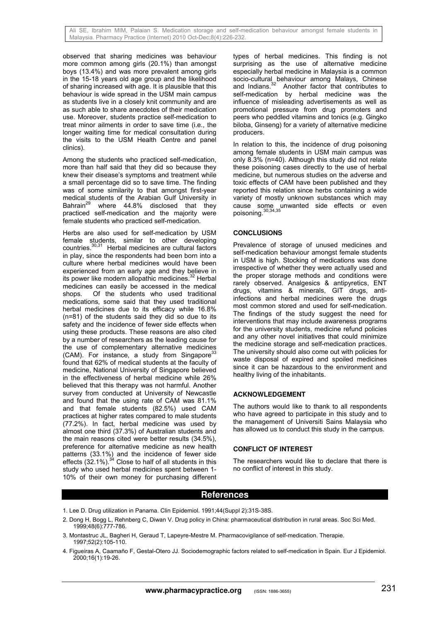observed that sharing medicines was behaviour more common among girls (20.1%) than amongst boys (13.4%) and was more prevalent among girls in the 15-18 years old age group and the likelihood of sharing increased with age. It is plausible that this behaviour is wide spread in the USM main campus as students live in a closely knit community and are as such able to share anecdotes of their medication use. Moreover, students practice self-medication to treat minor ailments in order to save time (i.e., the longer waiting time for medical consultation during the visits to the USM Health Centre and panel clinics).

Among the students who practiced self-medication, more than half said that they did so because they knew their disease's symptoms and treatment while a small percentage did so to save time. The finding was of some similarity to that amongst first-year medical students of the Arabian Gulf University in<br>Bahrain<sup>29</sup> where 44.8% disclosed that they where  $44.8\%$  disclosed that they practiced self-medication and the majority were female students who practiced self-medication.

Herbs are also used for self-medication by USM female students, similar to other developing countries.30,31 Herbal medicines are cultural factors in play, since the respondents had been born into a culture where herbal medicines would have been experienced from an early age and they believe in its power like modern allopathic medicines.<sup>32</sup> Herbal medicines can easily be accessed in the medical shops. Of the students who used traditional medications, some said that they used traditional herbal medicines due to its efficacy while 16.8% (n=81) of the students said they did so due to its safety and the incidence of fewer side effects when using these products. These reasons are also cited by a number of researchers as the leading cause for the use of complementary alternative medicines (CAM). For instance, a study from Singapore $33$ found that 62% of medical students at the faculty of medicine, National University of Singapore believed in the effectiveness of herbal medicine while 26% believed that this therapy was not harmful. Another survey from conducted at University of Newcastle and found that the using rate of CAM was 81.1% and that female students (82.5%) used CAM practices at higher rates compared to male students (77.2%). In fact, herbal medicine was used by almost one third (37.3%) of Australian students and the main reasons cited were better results (34.5%), preference for alternative medicine as new health patterns (33.1%) and the incidence of fewer side effects  $(32.1\%)$ .<sup>34</sup> Close to half of all students in this study who used herbal medicines spent between 1- 10% of their own money for purchasing different types of herbal medicines. This finding is not surprising as the use of alternative medicine especially herbal medicine in Malaysia is a common socio-cultural behaviour among Malays, Chinese and Indians.<sup>32</sup> Another factor that contributes to self-medication by herbal medicine was the influence of misleading advertisements as well as promotional pressure from drug promoters and peers who peddled vitamins and tonics (e.g. Gingko biloba, Ginseng) for a variety of alternative medicine producers.

In relation to this, the incidence of drug poisoning among female students in USM main campus was only 8.3% (n=40). Although this study did not relate these poisoning cases directly to the use of herbal medicine, but numerous studies on the adverse and toxic effects of CAM have been published and they reported this relation since herbs containing a wide variety of mostly unknown substances which may cause some unwanted side effects or even poisoning.30,34,35

## **CONCLUSIONS**

Prevalence of storage of unused medicines and self-medication behaviour amongst female students in USM is high. Stocking of medications was done irrespective of whether they were actually used and the proper storage methods and conditions were rarely observed. Analgesics & antipyretics, ENT drugs, vitamins & minerals, GIT drugs, antiinfections and herbal medicines were the drugs most common stored and used for self-medication. The findings of the study suggest the need for interventions that may include awareness programs for the university students, medicine refund policies and any other novel initiatives that could minimize the medicine storage and self-medication practices. The university should also come out with policies for waste disposal of expired and spoiled medicines since it can be hazardous to the environment and healthy living of the inhabitants.

## **ACKNOWLEDGEMENT**

The authors would like to thank to all respondents who have agreed to participate in this study and to the management of Universiti Sains Malaysia who has allowed us to conduct this study in the campus.

#### **CONFLICT OF INTEREST**

The researchers would like to declare that there is no conflict of interest in this study.

# **References**

- 1. Lee D. Drug utilization in Panama. Clin Epidemiol. 1991;44(Suppl 2):31S-38S.
- 2. Dong H, Bogg L, Rehnberg C, Diwan V. Drug policy in China: pharmaceutical distribution in rural areas. Soc Sci Med. 1999;48(6):777-786.
- 3. Montastruc JL, Bagheri H, Geraud T, Lapeyre-Mestre M. Pharmacovigilance of self-medication. Therapie. 1997;52(2):105-110.
- 4. Figueiras A, Caamaño F, Gestal-Otero JJ. Sociodemographic factors related to self-medication in Spain. Eur J Epidemiol. 2000;16(1):19-26.